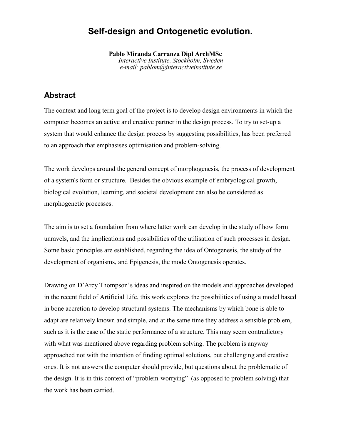# **Self-design and Ontogenetic evolution.**

**Pablo Miranda Carranza Dipl ArchMSc** *Interactive Institute, Stockholm, Sweden e-mail: pablom@interactiveinstitute.se*

### **Abstract**

The context and long term goal of the project is to develop design environments in which the computer becomes an active and creative partner in the design process. To try to set-up a system that would enhance the design process by suggesting possibilities, has been preferred to an approach that emphasises optimisation and problem-solving.

The work develops around the general concept of morphogenesis, the process of development of a system's form or structure. Besides the obvious example of embryological growth, biological evolution, learning, and societal development can also be considered as morphogenetic processes.

The aim is to set a foundation from where latter work can develop in the study of how form unravels, and the implications and possibilities of the utilisation of such processes in design. Some basic principles are established, regarding the idea of Ontogenesis, the study of the development of organisms, and Epigenesis, the mode Ontogenesis operates.

Drawing on D'Arcy Thompson's ideas and inspired on the models and approaches developed in the recent field of Artificial Life, this work explores the possibilities of using a model based in bone accretion to develop structural systems. The mechanisms by which bone is able to adapt are relatively known and simple, and at the same time they address a sensible problem, such as it is the case of the static performance of a structure. This may seem contradictory with what was mentioned above regarding problem solving. The problem is anyway approached not with the intention of finding optimal solutions, but challenging and creative ones. It is not answers the computer should provide, but questions about the problematic of the design. It is in this context of "problem-worrying" (as opposed to problem solving) that the work has been carried.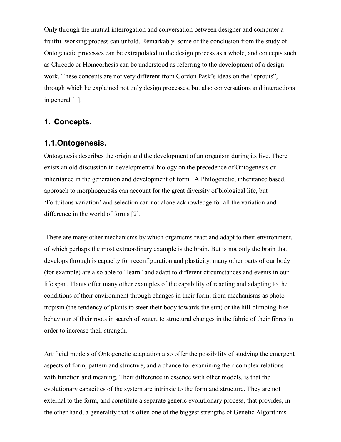Only through the mutual interrogation and conversation between designer and computer a fruitful working process can unfold. Remarkably, some of the conclusion from the study of Ontogenetic processes can be extrapolated to the design process as a whole, and concepts such as Chreode or Homeorhesis can be understood as referring to the development of a design work. These concepts are not very different from Gordon Pask's ideas on the "sprouts", through which he explained not only design processes, but also conversations and interactions in general [1].

### **1. Concepts.**

#### **1.1.Ontogenesis.**

Ontogenesis describes the origin and the development of an organism during its live. There exists an old discussion in developmental biology on the precedence of Ontogenesis or inheritance in the generation and development of form. A Philogenetic, inheritance based, approach to morphogenesis can account for the great diversity of biological life, but 'Fortuitous variation' and selection can not alone acknowledge for all the variation and difference in the world of forms [2].

 There are many other mechanisms by which organisms react and adapt to their environment, of which perhaps the most extraordinary example is the brain. But is not only the brain that develops through is capacity for reconfiguration and plasticity, many other parts of our body (for example) are also able to "learn" and adapt to different circumstances and events in our life span. Plants offer many other examples of the capability of reacting and adapting to the conditions of their environment through changes in their form: from mechanisms as phototropism (the tendency of plants to steer their body towards the sun) or the hill-climbing-like behaviour of their roots in search of water, to structural changes in the fabric of their fibres in order to increase their strength.

Artificial models of Ontogenetic adaptation also offer the possibility of studying the emergent aspects of form, pattern and structure, and a chance for examining their complex relations with function and meaning. Their difference in essence with other models, is that the evolutionary capacities of the system are intrinsic to the form and structure. They are not external to the form, and constitute a separate generic evolutionary process, that provides, in the other hand, a generality that is often one of the biggest strengths of Genetic Algorithms.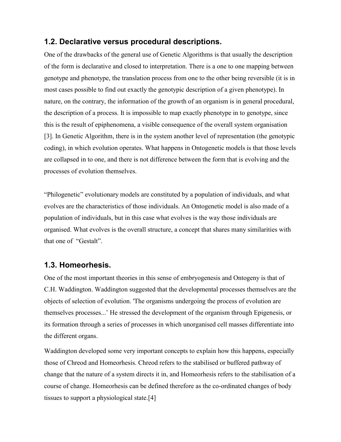#### **1.2. Declarative versus procedural descriptions.**

One of the drawbacks of the general use of Genetic Algorithms is that usually the description of the form is declarative and closed to interpretation. There is a one to one mapping between genotype and phenotype, the translation process from one to the other being reversible (it is in most cases possible to find out exactly the genotypic description of a given phenotype). In nature, on the contrary, the information of the growth of an organism is in general procedural, the description of a process. It is impossible to map exactly phenotype in to genotype, since this is the result of epiphenomena, a visible consequence of the overall system organisation [3]. In Genetic Algorithm, there is in the system another level of representation (the genotypic coding), in which evolution operates. What happens in Ontogenetic models is that those levels are collapsed in to one, and there is not difference between the form that is evolving and the processes of evolution themselves.

"Philogenetic" evolutionary models are constituted by a population of individuals, and what evolves are the characteristics of those individuals. An Ontogenetic model is also made of a population of individuals, but in this case what evolves is the way those individuals are organised. What evolves is the overall structure, a concept that shares many similarities with that one of "Gestalt".

#### **1.3. Homeorhesis.**

One of the most important theories in this sense of embryogenesis and Ontogeny is that of C.H. Waddington. Waddington suggested that the developmental processes themselves are the objects of selection of evolution. 'The organisms undergoing the process of evolution are themselves processes...' He stressed the development of the organism through Epigenesis, or its formation through a series of processes in which unorganised cell masses differentiate into the different organs.

Waddington developed some very important concepts to explain how this happens, especially those of Chreod and Homeorhesis. Chreod refers to the stabilised or buffered pathway of change that the nature of a system directs it in, and Homeorhesis refers to the stabilisation of a course of change. Homeorhesis can be defined therefore as the co-ordinated changes of body tissues to support a physiological state.[4]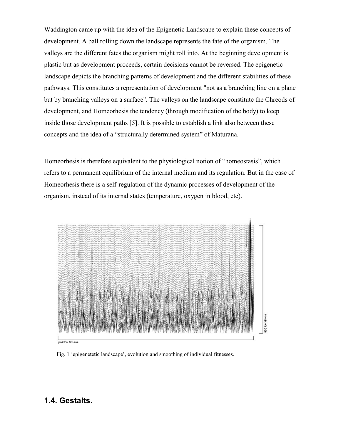Waddington came up with the idea of the Epigenetic Landscape to explain these concepts of development. A ball rolling down the landscape represents the fate of the organism. The valleys are the different fates the organism might roll into. At the beginning development is plastic but as development proceeds, certain decisions cannot be reversed. The epigenetic landscape depicts the branching patterns of development and the different stabilities of these pathways. This constitutes a representation of development "not as a branching line on a plane but by branching valleys on a surface". The valleys on the landscape constitute the Chreods of development, and Homeorhesis the tendency (through modification of the body) to keep inside those development paths [5]. It is possible to establish a link also between these concepts and the idea of a "structurally determined system" of Maturana.

Homeorhesis is therefore equivalent to the physiological notion of "homeostasis", which refers to a permanent equilibrium of the internal medium and its regulation. But in the case of Homeorhesis there is a self-regulation of the dynamic processes of development of the organism, instead of its internal states (temperature, oxygen in blood, etc).



Fig. 1 'epigenetetic landscape', evolution and smoothing of individual fitnesses.

#### **1.4. Gestalts.**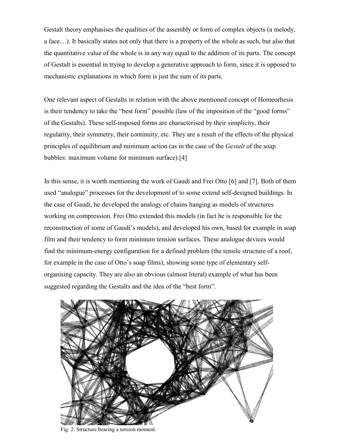Gestalt theory emphasises the qualities of the assembly or form of complex objects (a melody, a face…). It basically states not only that there is a property of the whole as such, but also that the quantitative value of the whole is in any way equal to the addition of its parts. The concept of Gestalt is essential in trying to develop a generative approach to form, since it is opposed to mechanistic explanations in which form is just the sum of its parts.

One relevant aspect of Gestalts in relation with the above mentioned concept of Homeorhesis is their tendency to take the "best form" possible (law of the imposition of the "good forms" of the Gestalts). These self-imposed forms are characterised by their simplicity, their regularity, their symmetry, their continuity, etc. They are a result of the effects of the physical principles of equilibrium and minimum action (as in the case of the *Gestalt* of the soap bubbles: maximum volume for minimum surface).[4]

In this sense, it is worth mentioning the work of Gaudí and Frei Otto [6] and [7]. Both of them used "analogue" processes for the development of to some extend self-designed buildings. In the case of Gaudi, he developed the analogy of chains hanging as models of structures working on compression. Frei Otto extended this models (in fact he is responsible for the reconstruction of some of Gaudí's models), and developed his own, based for example in soap film and their tendency to form minimum tension surfaces. These analogue devices would find the minimum-energy configuration for a defined problem (the tensile structure of a roof, for example in the case of Otto's soap films), showing some type of elementary selforganising capacity. They are also an obvious (almost literal) example of what has been suggested regarding the Gestalts and the idea of the "best form".



Fig. 2. Structure bearing a torsion moment.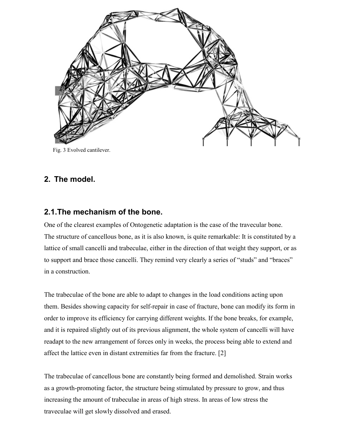

Fig. 3 Evolved cantilever.

# **2. The model.**

#### **2.1.The mechanism of the bone.**

One of the clearest examples of Ontogenetic adaptation is the case of the travecular bone. The structure of cancellous bone, as it is also known, is quite remarkable: It is constituted by a lattice of small cancelli and trabeculae, either in the direction of that weight they support, or as to support and brace those cancelli. They remind very clearly a series of "studs" and "braces" in a construction.

The trabeculae of the bone are able to adapt to changes in the load conditions acting upon them. Besides showing capacity for self-repair in case of fracture, bone can modify its form in order to improve its efficiency for carrying different weights. If the bone breaks, for example, and it is repaired slightly out of its previous alignment, the whole system of cancelli will have readapt to the new arrangement of forces only in weeks, the process being able to extend and affect the lattice even in distant extremities far from the fracture. [2]

The trabeculae of cancellous bone are constantly being formed and demolished. Strain works as a growth-promoting factor, the structure being stimulated by pressure to grow, and thus increasing the amount of trabeculae in areas of high stress. In areas of low stress the traveculae will get slowly dissolved and erased.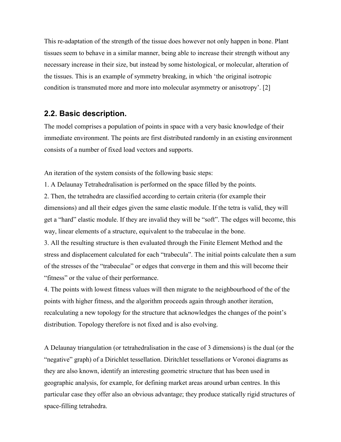This re-adaptation of the strength of the tissue does however not only happen in bone. Plant tissues seem to behave in a similar manner, being able to increase their strength without any necessary increase in their size, but instead by some histological, or molecular, alteration of the tissues. This is an example of symmetry breaking, in which 'the original isotropic condition is transmuted more and more into molecular asymmetry or anisotropy'. [2]

#### **2.2. Basic description.**

The model comprises a population of points in space with a very basic knowledge of their immediate environment. The points are first distributed randomly in an existing environment consists of a number of fixed load vectors and supports.

An iteration of the system consists of the following basic steps:

1. A Delaunay Tetrahedralisation is performed on the space filled by the points.

2. Then, the tetrahedra are classified according to certain criteria (for example their dimensions) and all their edges given the same elastic module. If the tetra is valid, they will get a "hard" elastic module. If they are invalid they will be "soft". The edges will become, this way, linear elements of a structure, equivalent to the trabeculae in the bone.

3. All the resulting structure is then evaluated through the Finite Element Method and the stress and displacement calculated for each "trabecula". The initial points calculate then a sum of the stresses of the "trabeculae" or edges that converge in them and this will become their "fitness" or the value of their performance.

4. The points with lowest fitness values will then migrate to the neighbourhood of the of the points with higher fitness, and the algorithm proceeds again through another iteration, recalculating a new topology for the structure that acknowledges the changes of the point's distribution. Topology therefore is not fixed and is also evolving.

A Delaunay triangulation (or tetrahedralisation in the case of 3 dimensions) is the dual (or the "negative" graph) of a Dirichlet tessellation. Diritchlet tessellations or Voronoi diagrams as they are also known, identify an interesting geometric structure that has been used in geographic analysis, for example, for defining market areas around urban centres. In this particular case they offer also an obvious advantage; they produce statically rigid structures of space-filling tetrahedra.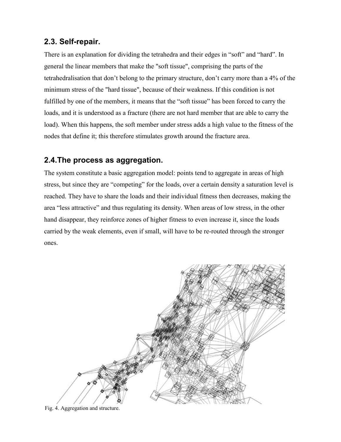### **2.3. Self-repair.**

There is an explanation for dividing the tetrahedra and their edges in "soft" and "hard". In general the linear members that make the "soft tissue", comprising the parts of the tetrahedralisation that don't belong to the primary structure, don't carry more than a 4% of the minimum stress of the "hard tissue", because of their weakness. If this condition is not fulfilled by one of the members, it means that the "soft tissue" has been forced to carry the loads, and it is understood as a fracture (there are not hard member that are able to carry the load). When this happens, the soft member under stress adds a high value to the fitness of the nodes that define it; this therefore stimulates growth around the fracture area.

# **2.4.The process as aggregation.**

The system constitute a basic aggregation model: points tend to aggregate in areas of high stress, but since they are "competing" for the loads, over a certain density a saturation level is reached. They have to share the loads and their individual fitness then decreases, making the area "less attractive" and thus regulating its density. When areas of low stress, in the other hand disappear, they reinforce zones of higher fitness to even increase it, since the loads carried by the weak elements, even if small, will have to be re-routed through the stronger ones.



Fig. 4. Aggregation and structure.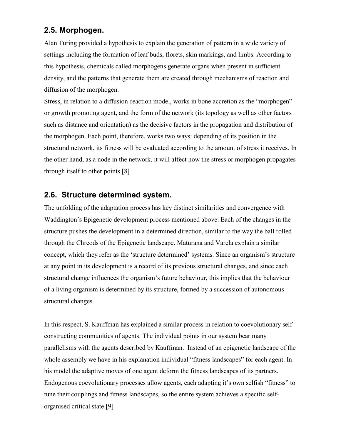# **2.5. Morphogen.**

Alan Turing provided a hypothesis to explain the generation of pattern in a wide variety of settings including the formation of leaf buds, florets, skin markings, and limbs. According to this hypothesis, chemicals called morphogens generate organs when present in sufficient density, and the patterns that generate them are created through mechanisms of reaction and diffusion of the morphogen.

Stress, in relation to a diffusion-reaction model, works in bone accretion as the "morphogen" or growth promoting agent, and the form of the network (its topology as well as other factors such as distance and orientation) as the decisive factors in the propagation and distribution of the morphogen. Each point, therefore, works two ways: depending of its position in the structural network, its fitness will be evaluated according to the amount of stress it receives. In the other hand, as a node in the network, it will affect how the stress or morphogen propagates through itself to other points.[8]

# **2.6. Structure determined system.**

The unfolding of the adaptation process has key distinct similarities and convergence with Waddington's Epigenetic development process mentioned above. Each of the changes in the structure pushes the development in a determined direction, similar to the way the ball rolled through the Chreods of the Epigenetic landscape. Maturana and Varela explain a similar concept, which they refer as the 'structure determined' systems. Since an organism's structure at any point in its development is a record of its previous structural changes, and since each structural change influences the organism's future behaviour, this implies that the behaviour of a living organism is determined by its structure, formed by a succession of autonomous structural changes.

In this respect, S. Kauffman has explained a similar process in relation to coevolutionary selfconstructing communities of agents. The individual points in our system bear many parallelisms with the agents described by Kauffman. Instead of an epigenetic landscape of the whole assembly we have in his explanation individual "fitness landscapes" for each agent. In his model the adaptive moves of one agent deform the fitness landscapes of its partners. Endogenous coevolutionary processes allow agents, each adapting it's own selfish "fitness" to tune their couplings and fitness landscapes, so the entire system achieves a specific selforganised critical state.[9]